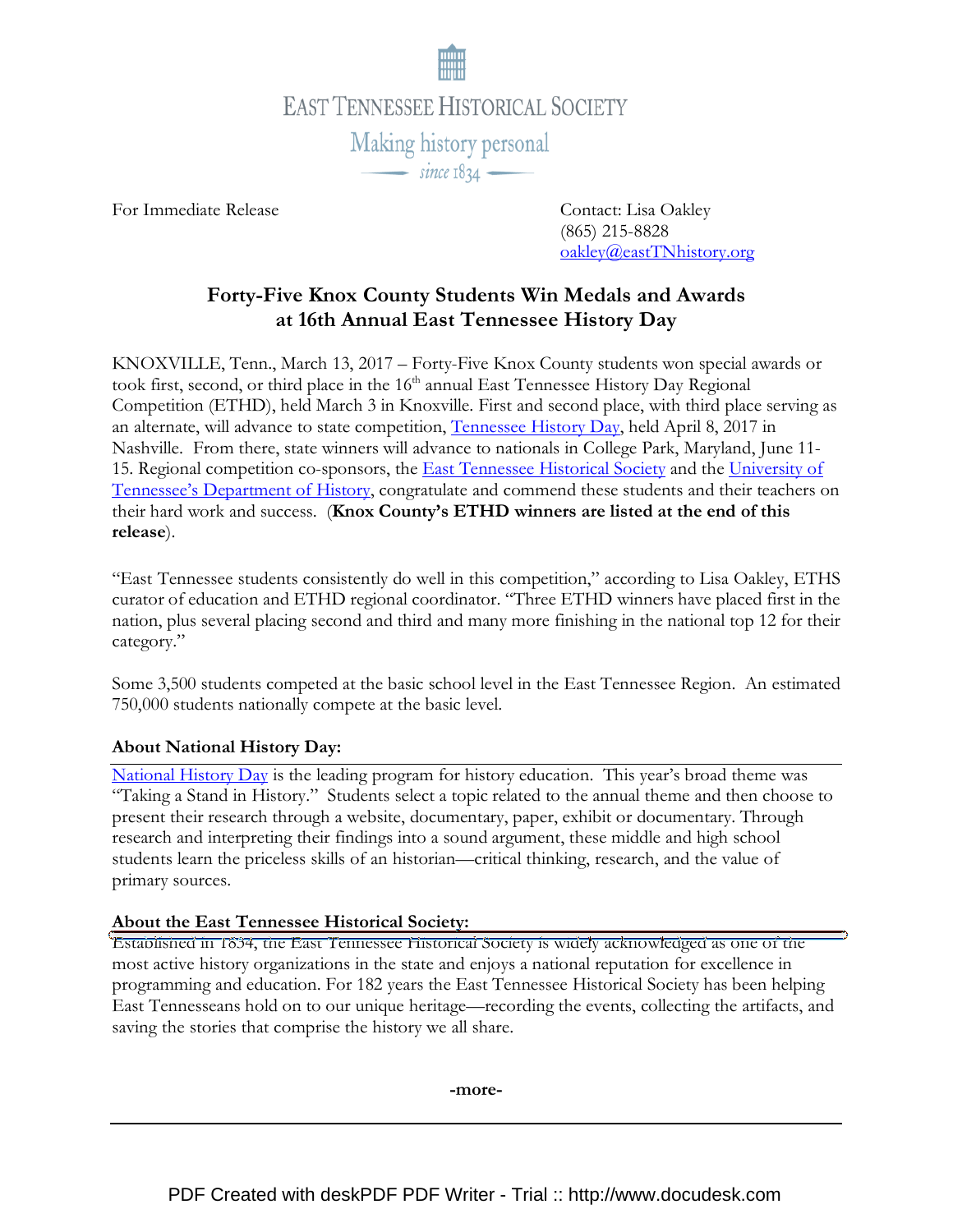

For Immediate Release Contact: Lisa Oakley

 (865) 215-8828 oakley@eastTNhistory.org

# Forty-Five Knox County Students Win Medals and Awards at 16th Annual East Tennessee History Day

KNOXVILLE, Tenn., March 13, 2017 – Forty-Five Knox County students won special awards or took first, second, or third place in the 16<sup>th</sup> annual East Tennessee History Day Regional Competition (ETHD), held March 3 in Knoxville. First and second place, with third place serving as an alternate, will advance to state competition, Tennessee History Day, held April 8, 2017 in Nashville. From there, state winners will advance to nationals in College Park, Maryland, June 11- 15. Regional competition co-sponsors, the East Tennessee Historical Society and the University of Tennessee's Department of History, congratulate and commend these students and their teachers on their hard work and success. (Knox County's ETHD winners are listed at the end of this release).

"East Tennessee students consistently do well in this competition," according to Lisa Oakley, ETHS curator of education and ETHD regional coordinator. "Three ETHD winners have placed first in the nation, plus several placing second and third and many more finishing in the national top 12 for their category."

Some 3,500 students competed at the basic school level in the East Tennessee Region. An estimated 750,000 students nationally compete at the basic level.

# About National History Day:

National History Day is the leading program for history education. This year's broad theme was "Taking a Stand in History." Students select a topic related to the annual theme and then choose to present their research through a website, documentary, paper, exhibit or documentary. Through research and interpreting their findings into a sound argument, these middle and high school students learn the priceless skills of an historian—critical thinking, research, and the value of primary sources.

# About the East Tennessee Historical Society:

Established in 1834, the East Tennessee Historical Society is widely acknowledged as one of the most active history organizations in the state and enjoys a national reputation for excellence in programming and education. For 182 years the East Tennessee Historical Society has been helping East Tennesseans hold on to our unique heritage—recording the events, collecting the artifacts, and saving the stories that comprise the history we all share.

-more-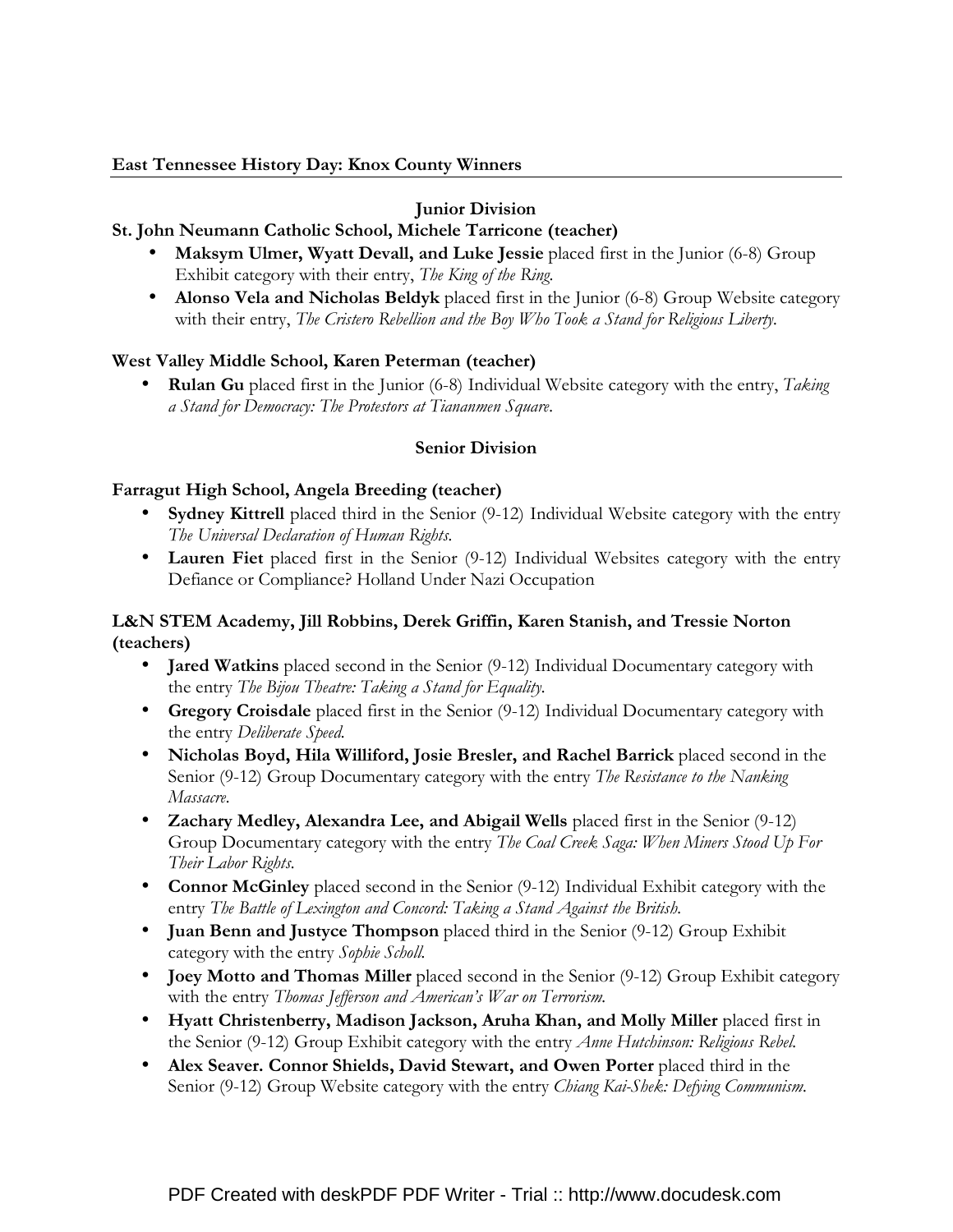# East Tennessee History Day: Knox County Winners

# Junior Division

# St. John Neumann Catholic School, Michele Tarricone (teacher)

- Maksym Ulmer, Wyatt Devall, and Luke Jessie placed first in the Junior (6-8) Group Exhibit category with their entry, The King of the Ring.
- Alonso Vela and Nicholas Beldyk placed first in the Junior (6-8) Group Website category with their entry, The Cristero Rebellion and the Boy Who Took a Stand for Religious Liberty.

# West Valley Middle School, Karen Peterman (teacher)

• Rulan Gu placed first in the Junior  $(6-8)$  Individual Website category with the entry, Taking a Stand for Democracy: The Protestors at Tiananmen Square.

#### Senior Division

#### Farragut High School, Angela Breeding (teacher)

- Sydney Kittrell placed third in the Senior (9-12) Individual Website category with the entry The Universal Declaration of Human Rights.
- Lauren Fiet placed first in the Senior (9-12) Individual Websites category with the entry Defiance or Compliance? Holland Under Nazi Occupation

# L&N STEM Academy, Jill Robbins, Derek Griffin, Karen Stanish, and Tressie Norton (teachers)

- Jared Watkins placed second in the Senior (9-12) Individual Documentary category with the entry The Bijou Theatre: Taking a Stand for Equality.
- Gregory Croisdale placed first in the Senior (9-12) Individual Documentary category with the entry Deliberate Speed.
- Nicholas Boyd, Hila Williford, Josie Bresler, and Rachel Barrick placed second in the Senior (9-12) Group Documentary category with the entry *The Resistance to the Nanking* Massacre.
- Zachary Medley, Alexandra Lee, and Abigail Wells placed first in the Senior (9-12) Group Documentary category with the entry The Coal Creek Saga: When Miners Stood Up For Their Labor Rights.
- Connor McGinley placed second in the Senior (9-12) Individual Exhibit category with the entry The Battle of Lexington and Concord: Taking a Stand Against the British.
- Juan Benn and Justyce Thompson placed third in the Senior (9-12) Group Exhibit category with the entry Sophie Scholl.
- Joey Motto and Thomas Miller placed second in the Senior (9-12) Group Exhibit category with the entry Thomas Jefferson and American's War on Terrorism.
- Hyatt Christenberry, Madison Jackson, Aruha Khan, and Molly Miller placed first in the Senior (9-12) Group Exhibit category with the entry Anne Hutchinson: Religious Rebel.
- Alex Seaver. Connor Shields, David Stewart, and Owen Porter placed third in the Senior (9-12) Group Website category with the entry Chiang Kai-Shek: Defying Communism.